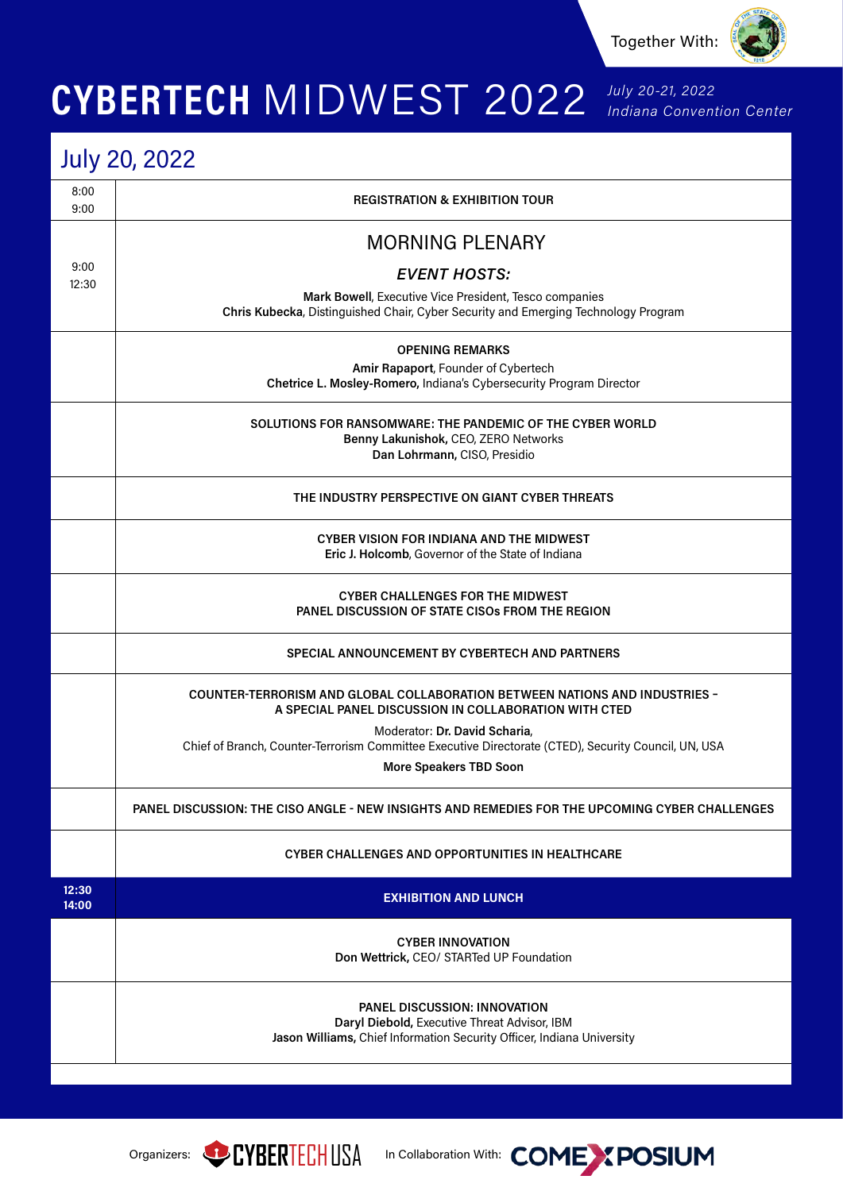

## CYBERTECH MIDWEST 2022 July 20-21, 2022

## July 20, 2022

| 8:00<br>9:00   | <b>REGISTRATION &amp; EXHIBITION TOUR</b>                                                                                                                     |
|----------------|---------------------------------------------------------------------------------------------------------------------------------------------------------------|
|                | <b>MORNING PLENARY</b>                                                                                                                                        |
| 9:00           | <b>EVENT HOSTS:</b>                                                                                                                                           |
| 12:30          | Mark Bowell, Executive Vice President, Tesco companies                                                                                                        |
|                | Chris Kubecka, Distinguished Chair, Cyber Security and Emerging Technology Program                                                                            |
|                | <b>OPENING REMARKS</b>                                                                                                                                        |
|                | Amir Rapaport, Founder of Cybertech<br>Chetrice L. Mosley-Romero, Indiana's Cybersecurity Program Director                                                    |
|                |                                                                                                                                                               |
|                | SOLUTIONS FOR RANSOMWARE: THE PANDEMIC OF THE CYBER WORLD                                                                                                     |
|                | Benny Lakunishok, CEO, ZERO Networks                                                                                                                          |
|                | Dan Lohrmann, CISO, Presidio                                                                                                                                  |
|                | THE INDUSTRY PERSPECTIVE ON GIANT CYBER THREATS                                                                                                               |
|                | CYBER VISION FOR INDIANA AND THE MIDWEST                                                                                                                      |
|                | Eric J. Holcomb, Governor of the State of Indiana                                                                                                             |
|                |                                                                                                                                                               |
|                | <b>CYBER CHALLENGES FOR THE MIDWEST</b>                                                                                                                       |
|                | <b>PANEL DISCUSSION OF STATE CISOS FROM THE REGION</b>                                                                                                        |
|                | <b>SPECIAL ANNOUNCEMENT BY CYBERTECH AND PARTNERS</b>                                                                                                         |
|                | <b>COUNTER-TERRORISM AND GLOBAL COLLABORATION BETWEEN NATIONS AND INDUSTRIES -</b><br>A SPECIAL PANEL DISCUSSION IN COLLABORATION WITH CTED                   |
|                | Moderator: Dr. David Scharia,                                                                                                                                 |
|                | Chief of Branch, Counter-Terrorism Committee Executive Directorate (CTED), Security Council, UN, USA                                                          |
|                | More Speakers TBD Soon                                                                                                                                        |
|                | PANEL DISCUSSION: THE CISO ANGLE - NEW INSIGHTS AND REMEDIES FOR THE UPCOMING CYBER CHALLENGES                                                                |
|                | <b>CYBER CHALLENGES AND OPPORTUNITIES IN HEALTHCARE</b>                                                                                                       |
| 12:30<br>14:00 | <b>EXHIBITION AND LUNCH</b>                                                                                                                                   |
|                | <b>CYBER INNOVATION</b><br>Don Wettrick, CEO/ STARTed UP Foundation                                                                                           |
|                | <b>PANEL DISCUSSION: INNOVATION</b><br>Daryl Diebold, Executive Threat Advisor, IBM<br>Jason Williams, Chief Information Security Officer, Indiana University |





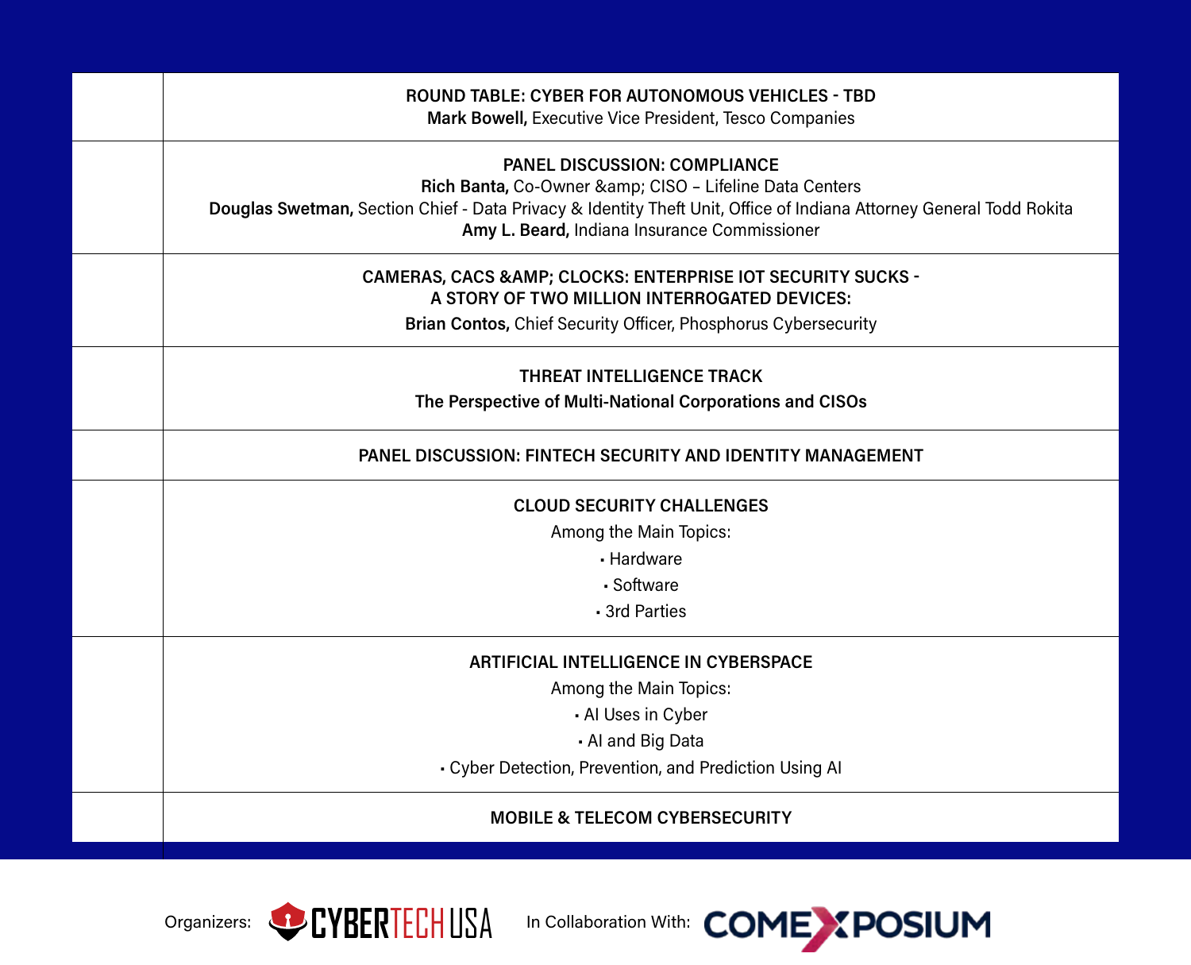| <b>ROUND TABLE: CYBER FOR AUTONOMOUS VEHICLES - TBD</b><br>Mark Bowell, Executive Vice President, Tesco Companies                                                                                                                                                 |
|-------------------------------------------------------------------------------------------------------------------------------------------------------------------------------------------------------------------------------------------------------------------|
| <b>PANEL DISCUSSION: COMPLIANCE</b><br>Rich Banta, Co-Owner & CISO - Lifeline Data Centers<br>Douglas Swetman, Section Chief - Data Privacy & Identity Theft Unit, Office of Indiana Attorney General Todd Rokita<br>Amy L. Beard, Indiana Insurance Commissioner |
| <b>CAMERAS, CACS &amp; AMP; CLOCKS: ENTERPRISE IOT SECURITY SUCKS -</b><br>A STORY OF TWO MILLION INTERROGATED DEVICES:<br>Brian Contos, Chief Security Officer, Phosphorus Cybersecurity                                                                         |
| <b>THREAT INTELLIGENCE TRACK</b><br>The Perspective of Multi-National Corporations and CISOs                                                                                                                                                                      |
| <b>PANEL DISCUSSION: FINTECH SECURITY AND IDENTITY MANAGEMENT</b>                                                                                                                                                                                                 |
| <b>CLOUD SECURITY CHALLENGES</b><br>Among the Main Topics:<br>- Hardware<br>· Software<br>- 3rd Parties                                                                                                                                                           |
| <b>ARTIFICIAL INTELLIGENCE IN CYBERSPACE</b><br>Among the Main Topics:<br>- Al Uses in Cyber<br>- Al and Big Data<br>- Cyber Detection, Prevention, and Prediction Using AI                                                                                       |
| <b>MOBILE &amp; TELECOM CYBERSECURITY</b>                                                                                                                                                                                                                         |